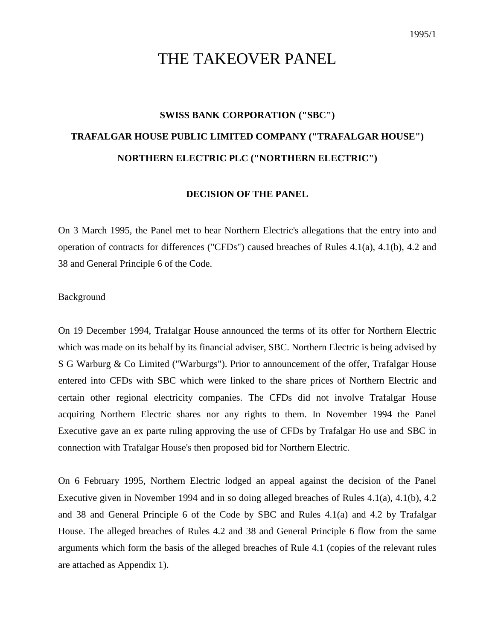# THE TAKEOVER PANEL

# **SWISS BANK CORPORATION ("SBC") TRAFALGAR HOUSE PUBLIC LIMITED COMPANY ("TRAFALGAR HOUSE") NORTHERN ELECTRIC PLC ("NORTHERN ELECTRIC")**

#### **DECISION OF THE PANEL**

On 3 March 1995, the Panel met to hear Northern Electric's allegations that the entry into and operation of contracts for differences ("CFDs") caused breaches of Rules 4.1(a), 4.1(b), 4.2 and 38 and General Principle 6 of the Code.

Background

On 19 December 1994, Trafalgar House announced the terms of its offer for Northern Electric which was made on its behalf by its financial adviser, SBC. Northern Electric is being advised by S G Warburg & Co Limited ("Warburgs"). Prior to announcement of the offer, Trafalgar House entered into CFDs with SBC which were linked to the share prices of Northern Electric and certain other regional electricity companies. The CFDs did not involve Trafalgar House acquiring Northern Electric shares nor any rights to them. In November 1994 the Panel Executive gave an ex parte ruling approving the use of CFDs by Trafalgar Ho use and SBC in connection with Trafalgar House's then proposed bid for Northern Electric.

On 6 February 1995, Northern Electric lodged an appeal against the decision of the Panel Executive given in November 1994 and in so doing alleged breaches of Rules 4.1(a), 4.1(b), 4.2 and 38 and General Principle 6 of the Code by SBC and Rules 4.1(a) and 4.2 by Trafalgar House. The alleged breaches of Rules 4.2 and 38 and General Principle 6 flow from the same arguments which form the basis of the alleged breaches of Rule 4.1 (copies of the relevant rules are attached as Appendix 1).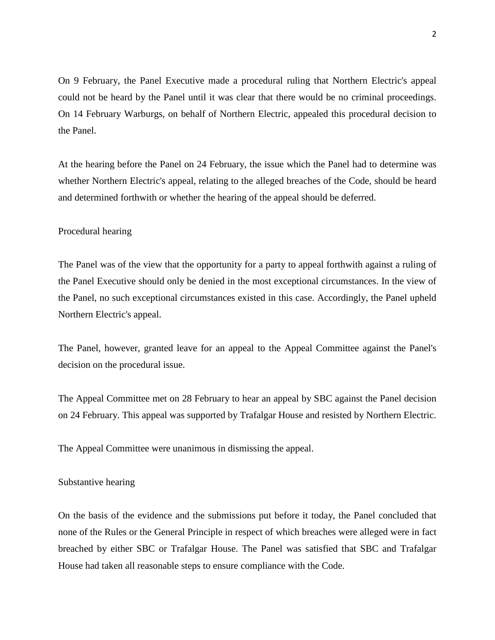On 9 February, the Panel Executive made a procedural ruling that Northern Electric's appeal could not be heard by the Panel until it was clear that there would be no criminal proceedings. On 14 February Warburgs, on behalf of Northern Electric, appealed this procedural decision to the Panel.

At the hearing before the Panel on 24 February, the issue which the Panel had to determine was whether Northern Electric's appeal, relating to the alleged breaches of the Code, should be heard and determined forthwith or whether the hearing of the appeal should be deferred.

## Procedural hearing

The Panel was of the view that the opportunity for a party to appeal forthwith against a ruling of the Panel Executive should only be denied in the most exceptional circumstances. In the view of the Panel, no such exceptional circumstances existed in this case. Accordingly, the Panel upheld Northern Electric's appeal.

The Panel, however, granted leave for an appeal to the Appeal Committee against the Panel's decision on the procedural issue.

The Appeal Committee met on 28 February to hear an appeal by SBC against the Panel decision on 24 February. This appeal was supported by Trafalgar House and resisted by Northern Electric.

The Appeal Committee were unanimous in dismissing the appeal.

#### Substantive hearing

On the basis of the evidence and the submissions put before it today, the Panel concluded that none of the Rules or the General Principle in respect of which breaches were alleged were in fact breached by either SBC or Trafalgar House. The Panel was satisfied that SBC and Trafalgar House had taken all reasonable steps to ensure compliance with the Code.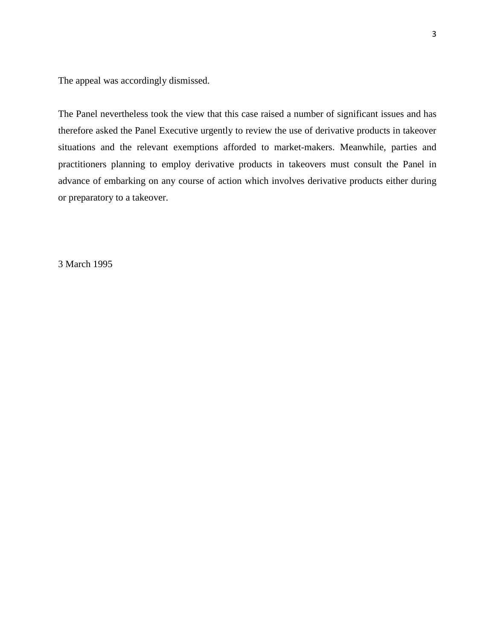The appeal was accordingly dismissed.

The Panel nevertheless took the view that this case raised a number of significant issues and has therefore asked the Panel Executive urgently to review the use of derivative products in takeover situations and the relevant exemptions afforded to market-makers. Meanwhile, parties and practitioners planning to employ derivative products in takeovers must consult the Panel in advance of embarking on any course of action which involves derivative products either during or preparatory to a takeover.

3 March 1995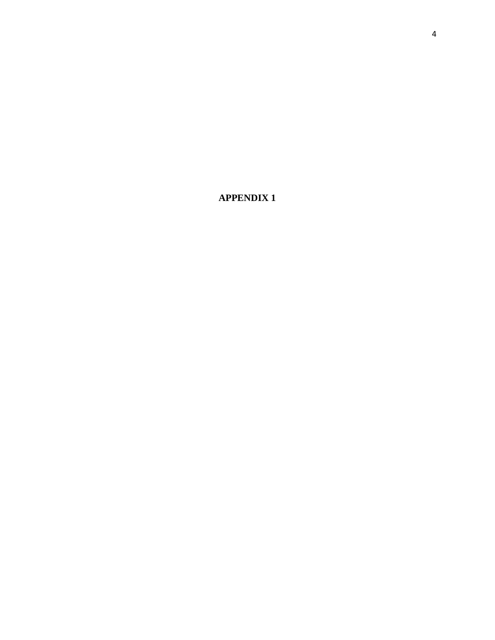**APPENDIX 1**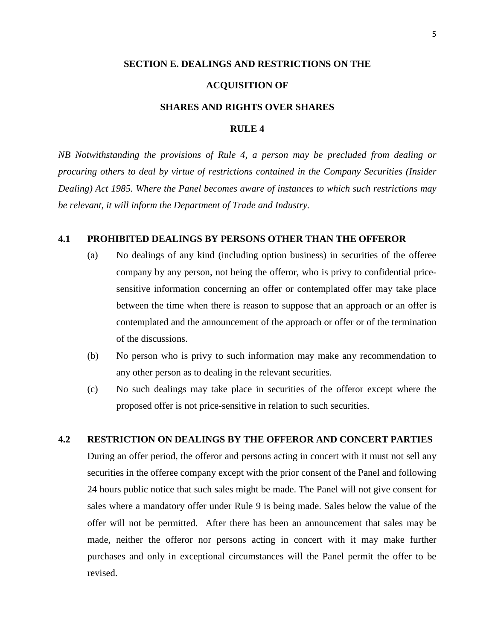## **SECTION E. DEALINGS AND RESTRICTIONS ON THE**

#### **ACQUISITION OF**

## **SHARES AND RIGHTS OVER SHARES**

## **RULE 4**

*NB Notwithstanding the provisions of Rule 4, a person may be precluded from dealing or procuring others to deal by virtue of restrictions contained in the Company Securities (Insider Dealing) Act 1985. Where the Panel becomes aware of instances to which such restrictions may be relevant, it will inform the Department of Trade and Industry.*

## **4.1 PROHIBITED DEALINGS BY PERSONS OTHER THAN THE OFFEROR**

- (a) No dealings of any kind (including option business) in securities of the offeree company by any person, not being the offeror, who is privy to confidential pricesensitive information concerning an offer or contemplated offer may take place between the time when there is reason to suppose that an approach or an offer is contemplated and the announcement of the approach or offer or of the termination of the discussions.
- (b) No person who is privy to such information may make any recommendation to any other person as to dealing in the relevant securities.
- (c) No such dealings may take place in securities of the offeror except where the proposed offer is not price-sensitive in relation to such securities.

## **4.2 RESTRICTION ON DEALINGS BY THE OFFEROR AND CONCERT PARTIES**

During an offer period, the offeror and persons acting in concert with it must not sell any securities in the offeree company except with the prior consent of the Panel and following 24 hours public notice that such sales might be made. The Panel will not give consent for sales where a mandatory offer under Rule 9 is being made. Sales below the value of the offer will not be permitted. After there has been an announcement that sales may be made, neither the offeror nor persons acting in concert with it may make further purchases and only in exceptional circumstances will the Panel permit the offer to be revised.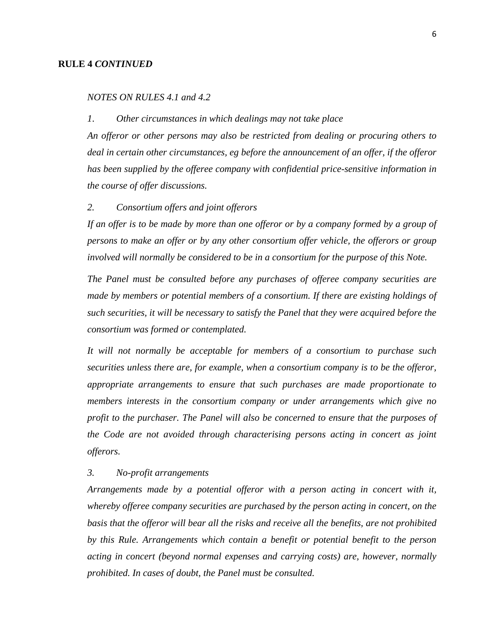## **RULE 4** *CONTINUED*

## *NOTES ON RULES 4.1 and 4.2*

#### *1*. *Other circumstances in which dealings may not take place*

*An offeror or other persons may also be restricted from dealing or procuring others to deal in certain other circumstances, eg before the announcement of an offer, if the offeror has been supplied by the offeree company with confidential price-sensitive information in the course of offer discussions.*

### *2. Consortium offers and joint offerors*

*If an offer is to be made by more than one offeror or by a company formed by a group of persons to make an offer or by any other consortium offer vehicle, the offerors or group involved will normally be considered to be in a consortium for the purpose of this Note.*

*The Panel must be consulted before any purchases of offeree company securities are made by members or potential members of a consortium. If there are existing holdings of such securities, it will be necessary to satisfy the Panel that they were acquired before the consortium was formed or contemplated.*

*It will not normally be acceptable for members of a consortium to purchase such securities unless there are, for example, when a consortium company is to be the offeror, appropriate arrangements to ensure that such purchases are made proportionate to members interests in the consortium company or under arrangements which give no profit to the purchaser. The Panel will also be concerned to ensure that the purposes of the Code are not avoided through characterising persons acting in concert as joint offerors.*

## *3. No-profit arrangements*

*Arrangements made by a potential offeror with a person acting in concert with it, whereby offeree company securities are purchased by the person acting in concert, on the basis that the offeror will bear all the risks and receive all the benefits, are not prohibited by this Rule. Arrangements which contain a benefit or potential benefit to the person acting in concert (beyond normal expenses and carrying costs) are, however, normally prohibited. In cases of doubt, the Panel must be consulted.*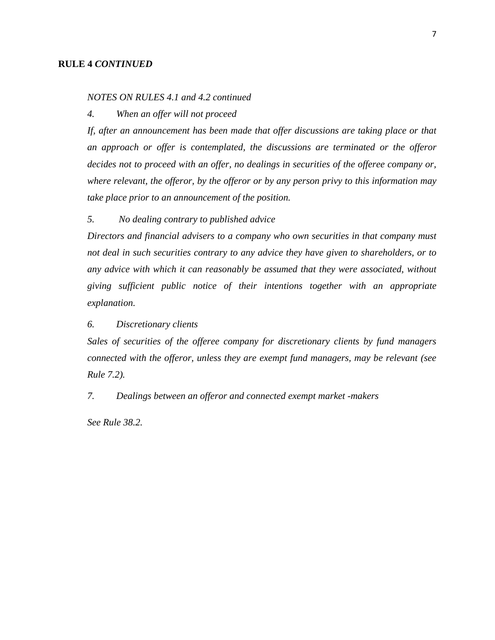## **RULE 4** *CONTINUED*

## *NOTES ON RULES 4.1 and 4.2 continued*

## *4. When an offer will not proceed*

*If, after an announcement has been made that offer discussions are taking place or that an approach or offer is contemplated, the discussions are terminated or the offeror decides not to proceed with an offer, no dealings in securities of the offeree company or, where relevant, the offeror, by the offeror or by any person privy to this information may take place prior to an announcement of the position.*

## *5. No dealing contrary to published advice*

*Directors and financial advisers to a company who own securities in that company must not deal in such securities contrary to any advice they have given to shareholders, or to any advice with which it can reasonably be assumed that they were associated, without giving sufficient public notice of their intentions together with an appropriate explanation.*

## *6. Discretionary clients*

*Sales of securities of the offeree company for discretionary clients by fund managers connected with the offeror, unless they are exempt fund managers, may be relevant (see Rule 7.2).*

## *7. Dealings between an offeror and connected exempt market -makers*

*See Rule 38.2.*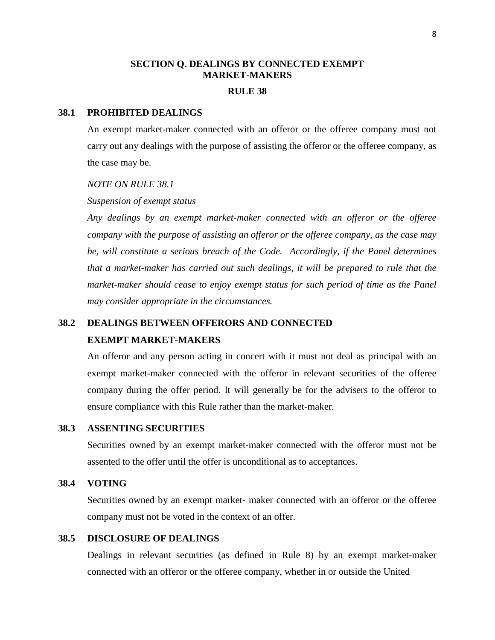## **SECTION Q. DEALINGS BY CONNECTED EXEMPT MARKET-MAKERS**

## **RULE 38**

## **38.1 PROHIBITED DEALINGS**

An exempt market-maker connected with an offeror or the offeree company must not carry out any dealings with the purpose of assisting the offeror or the offeree company, as the case may be.

### *NOTE ON RULE 38.1*

#### *Suspension of exempt status*

*Any dealings by an exempt market-maker connected with an offeror or the offeree company with the purpose of assisting an offeror or the offeree company, as the case may be, will constitute a serious breach of the Code. Accordingly, if the Panel determines that a market-maker has carried out such dealings, it will be prepared to rule that the market-maker should cease to enjoy exempt status for such period of time as the Panel may consider appropriate in the circumstances.*

## **38.2 DEALINGS BETWEEN OFFERORS AND CONNECTED EXEMPT MARKET-MAKERS**

An offeror and any person acting in concert with it must not deal as principal with an exempt market-maker connected with the offeror in relevant securities of the offeree company during the offer period. It will generally be for the advisers to the offeror to ensure compliance with this Rule rather than the market-maker.

## **38.3 ASSENTING SECURITIES**

Securities owned by an exempt market-maker connected with the offeror must not be assented to the offer until the offer is unconditional as to acceptances.

#### **38.4 VOTING**

Securities owned by an exempt market- maker connected with an offeror or the offeree company must not be voted in the context of an offer.

## **38.5 DISCLOSURE OF DEALINGS**

Dealings in relevant securities (as defined in Rule 8) by an exempt market-maker connected with an offeror or the offeree company, whether in or outside the United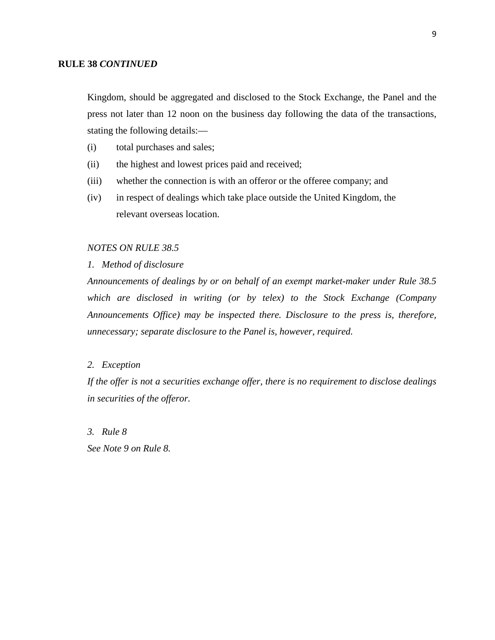## **RULE 38** *CONTINUED*

Kingdom, should be aggregated and disclosed to the Stock Exchange, the Panel and the press not later than 12 noon on the business day following the data of the transactions, stating the following details:—

- (i) total purchases and sales;
- (ii) the highest and lowest prices paid and received;
- (iii) whether the connection is with an offeror or the offeree company; and
- (iv) in respect of dealings which take place outside the United Kingdom, the relevant overseas location.

### *NOTES ON RULE 38.5*

*1. Method of disclosure*

*Announcements of dealings by or on behalf of an exempt market-maker under Rule 38.5 which are disclosed in writing (or by telex) to the Stock Exchange (Company Announcements Office) may be inspected there. Disclosure to the press is, therefore, unnecessary; separate disclosure to the Panel is, however, required.*

## *2. Exception*

*If the offer is not a securities exchange offer, there is no requirement to disclose dealings in securities of the offeror.*

*3. Rule 8*

*See Note 9 on Rule 8.*